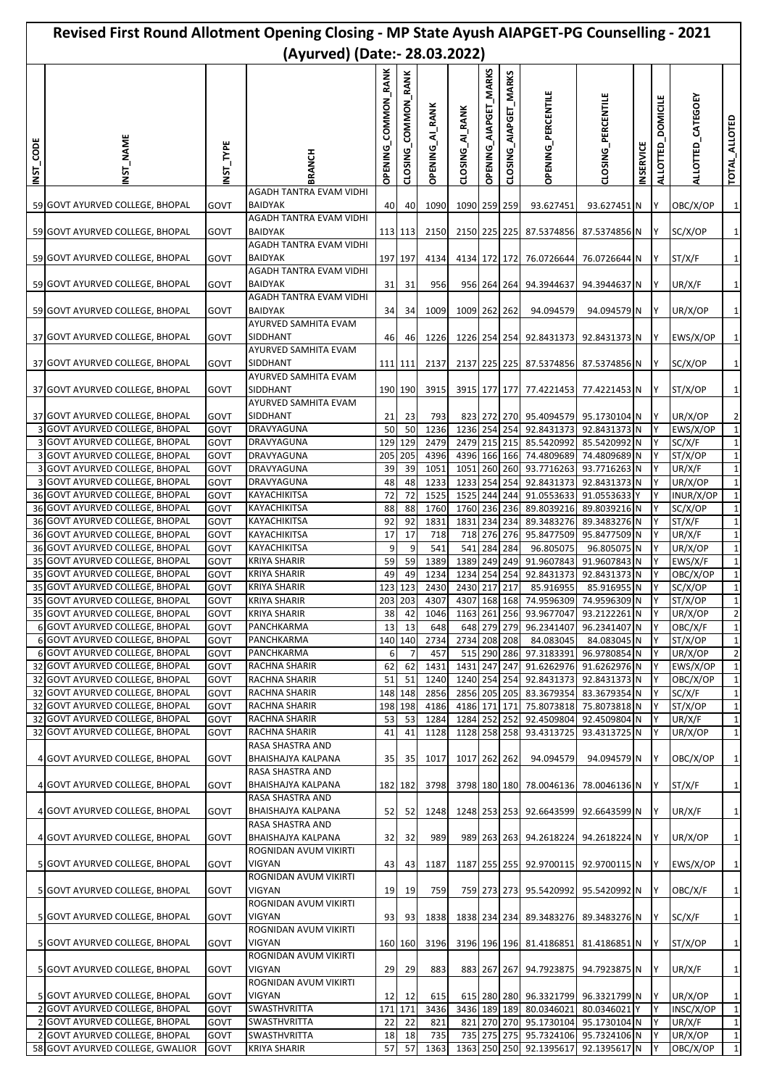| Revised First Round Allotment Opening Closing - MP State Ayush AIAPGET-PG Counselling - 2021 |                                                                    |              |                                             |                                         |                        |                 |                              |                       |                                           |                                                   |                              |                  |                   |                     |                               |
|----------------------------------------------------------------------------------------------|--------------------------------------------------------------------|--------------|---------------------------------------------|-----------------------------------------|------------------------|-----------------|------------------------------|-----------------------|-------------------------------------------|---------------------------------------------------|------------------------------|------------------|-------------------|---------------------|-------------------------------|
|                                                                                              |                                                                    |              | (Ayurved) (Date:- 28.03.2022)               |                                         |                        |                 |                              |                       |                                           |                                                   |                              |                  |                   |                     |                               |
| INST_CODE                                                                                    | NST_NAME                                                           | NST_TYPE     | BRANCH                                      | <b>RANK</b><br>COMMON<br><b>OPENING</b> | COMMON RANK<br>CLOSING | OPENING_AI_RANK | CLOSING_AI_RANK              | OPENING_AIAPGET_MARKS | <b>MARKS</b><br><b>AIAPGET</b><br>CLOSING | OPENING_PERCENTILE                                | CLOSING_PERCENTILE           | <b>INSERVICE</b> | ALLOTTED_DOMICILE | ALLOTTED_CATEGOEY   | TOTAL_ALLOTED                 |
|                                                                                              |                                                                    |              | AGADH TANTRA EVAM VIDHI                     |                                         |                        |                 |                              |                       |                                           |                                                   |                              |                  |                   |                     |                               |
|                                                                                              | 59 GOVT AYURVED COLLEGE, BHOPAL                                    | GOVT         | BAIDYAK<br>AGADH TANTRA EVAM VIDHI          | 40                                      | 40                     | 1090            | 1090 259 259                 |                       |                                           | 93.627451                                         | 93.627451 N                  |                  | Y                 | OBC/X/OP            | $\mathbf{1}$                  |
|                                                                                              | 59 GOVT AYURVED COLLEGE, BHOPAL                                    | GOVT         | <b>BAIDYAK</b>                              |                                         | 113 113                | 2150            |                              |                       |                                           | 2150 225 225 87.5374856 87.5374856 N              |                              |                  | IY.               | SC/X/OP             | $\mathbf{1}$                  |
|                                                                                              | 59 GOVT AYURVED COLLEGE, BHOPAL                                    | GOVT         | AGADH TANTRA EVAM VIDHI<br><b>BAIDYAK</b>   |                                         | 197 197                | 4134            |                              |                       |                                           | 4134 172 172 76.0726644                           | 76.0726644 N                 |                  | Y                 | ST/X/F              | $\mathbf{1}$                  |
|                                                                                              |                                                                    |              | AGADH TANTRA EVAM VIDHI                     |                                         |                        |                 |                              |                       |                                           |                                                   |                              |                  |                   |                     |                               |
|                                                                                              | 59 GOVT AYURVED COLLEGE, BHOPAL                                    | GOVT         | <b>BAIDYAK</b><br>AGADH TANTRA EVAM VIDHI   | 31                                      | 31                     | 956             |                              |                       |                                           | 956 264 264 94.3944637                            | 94.3944637 N                 |                  | Y                 | UR/X/F              | $\mathbf{1}$                  |
|                                                                                              | 59 GOVT AYURVED COLLEGE, BHOPAL                                    | GOVT         | <b>BAIDYAK</b>                              | 34                                      | 34                     | 1009            | 1009 262 262                 |                       |                                           | 94.094579                                         | 94.094579 N                  |                  | Y                 | UR/X/OP             | $\mathbf 1$                   |
|                                                                                              | 37 GOVT AYURVED COLLEGE, BHOPAL                                    | GOVT         | AYURVED SAMHITA EVAM<br>SIDDHANT            | 46                                      | 46                     | 1226            |                              |                       |                                           | 1226 254 254 92.8431373 92.8431373 N              |                              |                  | Y                 | EWS/X/OP            | $\mathbf{1}$                  |
|                                                                                              |                                                                    |              | AYURVED SAMHITA EVAM                        |                                         |                        |                 |                              |                       |                                           |                                                   |                              |                  |                   |                     |                               |
|                                                                                              | 37 GOVT AYURVED COLLEGE, BHOPAL                                    | GOVT         | SIDDHANT<br>AYURVED SAMHITA EVAM            |                                         | 111 111                | 2137            |                              |                       |                                           | 2137 225 225 87.5374856 87.5374856 N              |                              |                  | IY.               | SC/X/OP             | $\mathbf{1}$                  |
|                                                                                              | 37 GOVT AYURVED COLLEGE, BHOPAL                                    | GOVT         | SIDDHANT                                    |                                         | 190 190                | 3915            |                              |                       |                                           | 3915 177 177 77.4221453 77.4221453 N              |                              |                  | IY.               | ST/X/OP             | $\mathbf{1}$                  |
|                                                                                              |                                                                    |              | AYURVED SAMHITA EVAM                        |                                         |                        |                 |                              |                       |                                           |                                                   |                              |                  |                   |                     |                               |
|                                                                                              | 37 GOVT AYURVED COLLEGE, BHOPAL<br>3 GOVT AYURVED COLLEGE, BHOPAL  | GOVT<br>GOVT | SIDDHANT<br>DRAVYAGUNA                      | 21<br>50                                | 23<br>50               | 793<br>1236     | 1236 254 254                 |                       |                                           | 823 272 270 95.4094579 95.1730104 N<br>92.8431373 | 92.8431373 N                 |                  | IY.<br>Y          | UR/X/OP<br>EWS/X/OP | $\overline{2}$<br>$\mathbf 1$ |
|                                                                                              | 3 GOVT AYURVED COLLEGE, BHOPAL                                     | GOVT         | DRAVYAGUNA                                  | 129                                     | 129                    | 2479            |                              |                       |                                           | 2479 215 215 85.5420992                           | 85.5420992 N                 |                  | Y                 | SC/X/F              | $\mathbf{1}$                  |
|                                                                                              | <b>GOVT AYURVED COLLEGE, BHOPAL</b>                                | GOVT         | DRAVYAGUNA                                  | 205                                     | 205                    | 4396            | 4396 166 166                 |                       |                                           | 74.4809689                                        | 74.4809689 N                 |                  |                   | ST/X/OP             | $\mathbf 1$                   |
|                                                                                              | 3 GOVT AYURVED COLLEGE, BHOPAL                                     | GOVT         | DRAVYAGUNA                                  | 39                                      | 39                     | 1051            | 1051                         |                       |                                           | 260 260 93.7716263                                | 93.7716263 N                 |                  | Y                 | UR/X/F              | $\mathbf{1}$                  |
|                                                                                              | 3 GOVT AYURVED COLLEGE, BHOPAL                                     | GOVT         | DRAVYAGUNA                                  | 48                                      | 48                     | 1233            |                              |                       |                                           | 1233 254 254 92.8431373                           | 92.8431373 N                 |                  | Y                 | UR/X/OP             | $\mathbf{1}$                  |
|                                                                                              | 36 GOVT AYURVED COLLEGE, BHOPAL                                    | GOVT         | KAYACHIKITSA                                | 72                                      | 72                     | 1525            | 1525                         | 244                   | 244                                       | 91.0553633                                        | 91.0553633 Y                 |                  | Y                 | INUR/X/OP           | $\mathbf{1}$                  |
|                                                                                              | 36 GOVT AYURVED COLLEGE, BHOPAL<br>36 GOVT AYURVED COLLEGE, BHOPAL | GOVT<br>GOVT | KAYACHIKITSA<br>KAYACHIKITSA                | 88<br>92                                | 88<br>92               | 1760<br>1831    | 1760 236 236<br>1831 234 234 |                       |                                           | 89.8039216<br>89.3483276                          | 89.8039216 N<br>89.3483276 N |                  | Υ<br>Y            | SC/X/OP<br>ST/X/F   | $\mathbf{1}$<br>$\mathbf 1$   |
|                                                                                              | 36 GOVT AYURVED COLLEGE, BHOPAL                                    | GOVT         | KAYACHIKITSA                                | 17                                      | 17                     | 718             | 718                          |                       | 276 276                                   | 95.8477509                                        | 95.8477509 N                 |                  | Y                 | UR/X/F              | $\mathbf{1}$                  |
|                                                                                              | 36 GOVT AYURVED COLLEGE, BHOPAL                                    | GOVT         | KAYACHIKITSA                                | 9                                       | 9                      | 541             | 541                          | 284 284               |                                           | 96.805075                                         | 96.805075 N                  |                  |                   | UR/X/OP             | $\mathbf{1}$                  |
|                                                                                              | 35 GOVT AYURVED COLLEGE, BHOPAL                                    | GOVT         | <b>KRIYA SHARIR</b>                         | 59                                      | 59                     | 1389            | 1389 249 249                 |                       |                                           | 91.9607843                                        | 91.9607843 N                 |                  | Y                 | EWS/X/F             | $\mathbf{1}$                  |
|                                                                                              | 35 GOVT AYURVED COLLEGE, BHOPAL                                    | GOVT         | <b>KRIYA SHARIR</b>                         | 49                                      | 49                     | 1234            | 1234                         |                       | 254 254                                   | 92.8431373                                        | 92.8431373 N                 |                  | Υ                 | OBC/X/OP            | $\mathbf 1$                   |
| 35                                                                                           | <b>GOVT AYURVED COLLEGE, BHOPAL</b>                                | GOVT         | <b>KRIYA SHARIR</b>                         | 123                                     | 123                    | 2430            | 2430 217                     |                       | 217                                       | 85.916955                                         | 85.916955 N                  |                  |                   | SC/X/OP             | $\mathbf 1$                   |
|                                                                                              | 35 GOVT AYURVED COLLEGE, BHOPAL                                    | GOVI         | <b>KRIYA SHARIR</b>                         |                                         |                        | 203 203 4307    |                              |                       |                                           | 4307 168 168 74.9596309 74.9596309 N              |                              |                  | IY.               | 51/X/OP             | 1                             |
|                                                                                              | 35 GOVT AYURVED COLLEGE, BHOPAL                                    | GOVT         | <b>KRIYA SHARIR</b>                         | 38                                      | 42                     | 1046            |                              |                       |                                           | 1163 261 256 93.9677047 93.2122261 N              |                              |                  | Y                 | UR/X/OP             | $\overline{2}$                |
|                                                                                              | 6 GOVT AYURVED COLLEGE, BHOPAL<br>6 GOVT AYURVED COLLEGE, BHOPAL   | GOVT         | PANCHKARMA<br>PANCHKARMA                    | 13                                      | 13<br>140 140          | 648             |                              |                       | 648 279 279                               | 96.2341407                                        | 96.2341407 N                 |                  | Y                 | OBC/X/F             | $\mathbf{1}$<br>$\mathbf{1}$  |
|                                                                                              | 6 GOVT AYURVED COLLEGE, BHOPAL                                     | GOVT<br>GOVT | PANCHKARMA                                  | 6                                       | $\overline{7}$         | 2734<br>457     | 2734 208 208                 |                       | 515 290 286                               | 84.083045<br>97.3183391                           | 84.083045 N<br>96.9780854 N  |                  | Y<br>Y            | ST/X/OP<br>UR/X/OP  | $\overline{2}$                |
|                                                                                              | 32 GOVT AYURVED COLLEGE, BHOPAL                                    | GOVT         | RACHNA SHARIR                               | 62                                      | 62                     | 1431            | 1431 247 247                 |                       |                                           | 91.6262976                                        | 91.6262976 N                 |                  | Y                 | EWS/X/OP            | $\mathbf{1}$                  |
|                                                                                              | 32 GOVT AYURVED COLLEGE, BHOPAL                                    | GOVT         | RACHNA SHARIR                               | 51                                      | 51                     | 1240            |                              |                       |                                           | 1240 254 254 92.8431373                           | 92.8431373 N                 |                  | Υ                 | OBC/X/OP            | $\mathbf{1}$                  |
|                                                                                              | 32 GOVT AYURVED COLLEGE, BHOPAL                                    | GOVT         | RACHNA SHARIR                               |                                         | 148 148                | 2856            | 2856 205 205                 |                       |                                           | 83.3679354                                        | 83.3679354 N                 |                  | Y                 | SC/X/F              | $\mathbf{1}$                  |
|                                                                                              | 32 GOVT AYURVED COLLEGE, BHOPAL                                    | GOVT         | RACHNA SHARIR                               |                                         | 198 198                | 4186            | 4186 171 171                 |                       |                                           |                                                   | 75.8073818 75.8073818 N      |                  | Y                 | ST/X/OP             | $\mathbf{1}$                  |
|                                                                                              | 32 GOVT AYURVED COLLEGE, BHOPAL                                    | GOVT         | RACHNA SHARIR                               | 53                                      | 53                     | 1284            | 1284 252 252                 |                       |                                           | 92.4509804                                        | 92.4509804 N                 |                  | Υ                 | UR/X/F              | $\mathbf{1}$                  |
|                                                                                              | 32 GOVT AYURVED COLLEGE, BHOPAL                                    | GOVT         | RACHNA SHARIR                               | 41                                      | 41                     | 1128            | 1128 258 258                 |                       |                                           | 93.4313725                                        | 93.4313725 N                 |                  | Y                 | UR/X/OP             | $\mathbf{1}$                  |
|                                                                                              | 4 GOVT AYURVED COLLEGE, BHOPAL                                     | GOVT         | RASA SHASTRA AND<br>BHAISHAJYA KALPANA      | 35 <sub>l</sub>                         | 35                     | 1017            | 1017 262 262                 |                       |                                           | 94.094579                                         | 94.094579 N                  |                  | <b>IY</b>         | OBC/X/OP            | $\mathbf 1$                   |
|                                                                                              |                                                                    |              | RASA SHASTRA AND                            |                                         |                        |                 |                              |                       |                                           |                                                   |                              |                  |                   |                     |                               |
|                                                                                              | 4 GOVT AYURVED COLLEGE, BHOPAL                                     | GOVT         | BHAISHAJYA KALPANA                          |                                         | 182 182                | 3798            |                              |                       |                                           | 3798 180 180 78.0046136 78.0046136 N              |                              |                  | IY.               | ST/X/F              | $\mathbf 1$                   |
|                                                                                              | 4 GOVT AYURVED COLLEGE, BHOPAL                                     | GOVT         | RASA SHASTRA AND<br>BHAISHAJYA KALPANA      | 52                                      | 52                     | 1248            |                              |                       |                                           | 1248 253 253 92.6643599 92.6643599 N              |                              |                  | IY.               | UR/X/F              | $\mathbf{1}$                  |
|                                                                                              |                                                                    |              | RASA SHASTRA AND                            |                                         |                        |                 |                              |                       |                                           |                                                   |                              |                  |                   |                     |                               |
|                                                                                              | 4 GOVT AYURVED COLLEGE, BHOPAL                                     | GOVT         | BHAISHAJYA KALPANA<br>ROGNIDAN AVUM VIKIRTI | 32                                      | 32                     | 989             |                              |                       |                                           | 989 263 263 94.2618224 94.2618224 N               |                              |                  | Y                 | UR/X/OP             | $\mathbf 1$                   |
|                                                                                              | 5 GOVT AYURVED COLLEGE, BHOPAL                                     | GOVT         | VIGYAN                                      | 43                                      | 43                     | 1187            |                              |                       |                                           | 1187 255 255 92.9700115 92.9700115 N              |                              |                  | Y                 | EWS/X/OP            | $\mathbf{1}$                  |
|                                                                                              |                                                                    |              | ROGNIDAN AVUM VIKIRTI<br>VIGYAN             |                                         |                        |                 |                              |                       |                                           |                                                   |                              |                  |                   |                     |                               |
|                                                                                              | 5 GOVT AYURVED COLLEGE, BHOPAL                                     | GOVT         | ROGNIDAN AVUM VIKIRTI                       | 19                                      | 19                     | 759             |                              |                       |                                           | 759 273 273 95.5420992                            | 95.5420992 N                 |                  | Y                 | OBC/X/F             | $\mathbf{1}$                  |
|                                                                                              | 5 GOVT AYURVED COLLEGE, BHOPAL                                     | GOVT         | <b>VIGYAN</b>                               | 93                                      | 93                     | 1838            |                              |                       |                                           | 1838 234 234 89.3483276 89.3483276 N              |                              |                  | IY.               | SC/X/F              | $\mathbf 1$                   |
|                                                                                              | 5 GOVT AYURVED COLLEGE, BHOPAL                                     | GOVT         | ROGNIDAN AVUM VIKIRTI<br>VIGYAN             |                                         | 160 160                | 3196            |                              |                       |                                           | 3196 196 196 81.4186851                           | 81.4186851 N                 |                  | IY.               | ST/X/OP             | $\mathbf{1}$                  |
|                                                                                              |                                                                    |              | ROGNIDAN AVUM VIKIRTI                       |                                         |                        |                 |                              |                       |                                           |                                                   |                              |                  |                   |                     |                               |
|                                                                                              | 5 GOVT AYURVED COLLEGE, BHOPAL                                     | GOVT         | <b>VIGYAN</b><br>ROGNIDAN AVUM VIKIRTI      | 29                                      | 29                     | 883             |                              |                       |                                           | 883 267 267 94.7923875                            | 94.7923875 N                 |                  | Y                 | UR/X/F              | $\mathbf 1$                   |
|                                                                                              | 5 GOVT AYURVED COLLEGE, BHOPAL                                     | GOVT         | VIGYAN                                      | 12                                      | 12                     | 615             |                              |                       |                                           | 615 280 280 96.3321799 96.3321799 N               |                              |                  | Y                 | UR/X/OP             | $\mathbf{1}$                  |
|                                                                                              | 2 GOVT AYURVED COLLEGE, BHOPAL                                     | GOVT         | SWASTHVRITTA                                | 171                                     | 171                    | 3436            |                              |                       |                                           | 3436 189 189 80.0346021                           | 80.0346021 Y                 |                  | Y                 | INSC/X/OP           | $\mathbf{1}$                  |
|                                                                                              | 2 GOVT AYURVED COLLEGE, BHOPAL                                     | GOVT         | SWASTHVRITTA                                | 22                                      | 22                     | 821             | 821                          |                       |                                           | 270 270 95.1730104                                | 95.1730104 N                 |                  | Y                 | UR/X/F              | $\mathbf{1}$                  |
|                                                                                              | 2 GOVT AYURVED COLLEGE, BHOPAL                                     | GOVT         | SWASTHVRITTA                                | 18                                      | 18                     | 735             |                              |                       |                                           | 735 275 275 95.7324106 95.7324106 N               |                              |                  | Y                 | UR/X/OP             | $\mathbf{1}$                  |
|                                                                                              | 58 GOVT AYURVED COLLEGE, GWALIOR                                   | <b>GOVT</b>  | <b>KRIYA SHARIR</b>                         | 57                                      | 57                     | 1363            |                              |                       |                                           | 1363 250 250 92.1395617 92.1395617 N              |                              |                  | Y                 | OBC/X/OP            | $\mathbf{1}$                  |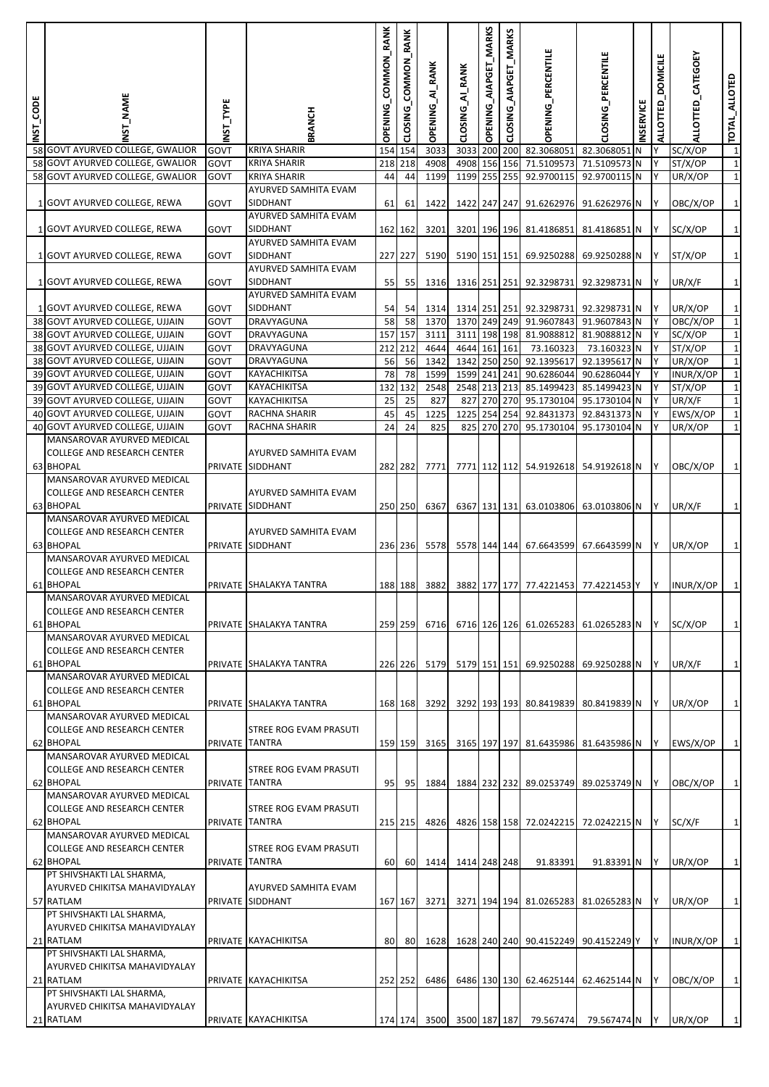| INST_CODE | <b>NAME</b>                                                        | NST_TYPE       | <b>BRANCH</b>                            | COMMON_RANK<br><b>OPENING</b> | COMMON_RANK<br>CLOSING | OPENING_AI_RANK           | CLOSING_AI_RANK | OPENING_AIAPGET_MARKS | _MARKS<br>AIAPG<br>e⊆<br>CLOS | OPENING_PERCENTILE                   | CLOSING PERCENTILE                   | <b>INSERVICE</b> | ALLOTTED_DOMICILE | ALLOTTED_CATEGOEY  | TOTAL_ALLOTED                  |
|-----------|--------------------------------------------------------------------|----------------|------------------------------------------|-------------------------------|------------------------|---------------------------|-----------------|-----------------------|-------------------------------|--------------------------------------|--------------------------------------|------------------|-------------------|--------------------|--------------------------------|
|           | 58 GOVT AYURVED COLLEGE, GWALIOR                                   | <b>GOVT</b>    | KRIYA SHARIR                             | 154                           | 154                    | 3033                      | 3033            |                       |                               | 200 200 82.3068051                   | 82.3068051                           | N                |                   | SC/X/OP            | $\mathbf 1$                    |
|           | 58 GOVT AYURVED COLLEGE, GWALIOR                                   | <b>GOVT</b>    | KRIYA SHARIR                             |                               | 218 218                | 4908                      |                 |                       |                               | 4908 156 156 71.5109573              | 71.5109573 N                         |                  | Y                 | ST/X/OP            | $1\overline{)}$                |
|           | 58 GOVT AYURVED COLLEGE, GWALIOR                                   | GOVT           | KRIYA SHARIR                             | 44                            | 44                     | 1199                      | 1199 255 255    |                       |                               | 92.9700115                           | 92.9700115 N                         |                  | Y                 | UR/X/OP            | $\mathbf{1}$                   |
|           | 1 GOVT AYURVED COLLEGE, REWA                                       | GOVT           | AYURVED SAMHITA EVAM<br>SIDDHANT         | 61                            |                        | 1422                      |                 |                       |                               | 1422 247 247 91.6262976              |                                      |                  | IY.               |                    | $1\overline{)}$                |
|           |                                                                    |                | AYURVED SAMHITA EVAM                     |                               | 61                     |                           |                 |                       |                               |                                      | 91.6262976 N                         |                  |                   | OBC/X/OP           |                                |
|           | 1 GOVT AYURVED COLLEGE, REWA                                       | GOVT           | SIDDHANT                                 |                               | 162 162                | 3201                      |                 |                       |                               | 3201 196 196 81.4186851              | 81.4186851 N                         |                  | IY.               | SC/X/OP            | $\mathbf{1}$                   |
|           |                                                                    |                | AYURVED SAMHITA EVAM                     |                               |                        |                           |                 |                       |                               |                                      |                                      |                  |                   |                    |                                |
|           | 1 GOVT AYURVED COLLEGE, REWA                                       | GOVT           | SIDDHANT                                 |                               | 227 227                | 5190                      |                 |                       |                               | 5190 151 151 69.9250288              | 69.9250288 N                         |                  | IY.               | ST/X/OP            | $\mathbf{1}$                   |
|           |                                                                    |                | AYURVED SAMHITA EVAM                     |                               |                        |                           |                 |                       |                               |                                      |                                      |                  |                   |                    |                                |
|           | 1 GOVT AYURVED COLLEGE, REWA                                       | GOVT           | SIDDHANT                                 | 55                            | 55                     | 1316                      |                 |                       |                               | 1316 251 251 92.3298731              | 92.3298731 N                         |                  | IY.               | UR/X/F             | $1\overline{)}$                |
|           |                                                                    |                | AYURVED SAMHITA EVAM                     |                               |                        |                           |                 |                       |                               |                                      |                                      |                  |                   |                    |                                |
|           | 1 GOVT AYURVED COLLEGE, REWA                                       | GOVT           | SIDDHANT                                 | 54                            | 54                     | 1314                      |                 |                       |                               | 1314 251 251 92.3298731              | 92.3298731 N                         |                  | IY                | UR/X/OP            | $\mathbf{1}$                   |
|           | 38 GOVT AYURVED COLLEGE, UJJAIN                                    | GOVT           | DRAVYAGUNA                               | 58                            | 58                     | 1370                      | 1370 249 249    |                       |                               | 91.9607843                           | 91.9607843 N                         |                  | Υ                 | OBC/X/OP           | $\mathbf{1}$                   |
|           | 38 GOVT AYURVED COLLEGE, UJJAIN                                    | GOVT           | DRAVYAGUNA<br>DRAVYAGUNA                 | 157                           | 157<br>212 212         | 3111                      |                 |                       |                               | 3111 198 198 81.9088812              | 81.9088812 N                         |                  | Υ                 | SC/X/OP            | $1\overline{)}$<br>$\mathbf 1$ |
|           | 38 GOVT AYURVED COLLEGE, UJJAIN<br>38 GOVT AYURVED COLLEGE, UJJAIN | GOVT<br>GOVT   | DRAVYAGUNA                               | 56                            | 56                     | 4644<br>1342              | 4644 161 161    |                       |                               | 73.160323<br>1342 250 250 92.1395617 | 73.160323 N<br>92.1395617 N          |                  | Y<br>IY.          | ST/X/OP<br>UR/X/OP | $1\overline{)}$                |
|           | 39 GOVT AYURVED COLLEGE, UJJAIN                                    | GOVT           | KAYACHIKITSA                             | 78                            | 78                     | 1599                      | 1599 241 241    |                       |                               | 90.6286044                           | 90.6286044                           | Y                | Y                 | INUR/X/OP          | $\mathbf{1}$                   |
|           | 39 GOVT AYURVED COLLEGE, UJJAIN                                    | GOVT           | KAYACHIKITSA                             | 132                           | 132                    | 2548                      |                 |                       |                               | 2548 213 213 85.1499423              | 85.1499423 N                         |                  | Y                 | ST/X/OP            | $\mathbf 1$                    |
|           | 39 GOVT AYURVED COLLEGE, UJJAIN                                    | GOVT           | KAYACHIKITSA                             | 25                            | 25                     | 827                       |                 |                       |                               | 827 270 270 95.1730104               | 95.1730104 N                         |                  | Y                 | UR/X/F             | $\mathbf{1}$                   |
|           | 40 GOVT AYURVED COLLEGE, UJJAIN                                    | GOVT           | RACHNA SHARIR                            | 45                            | 45                     | 1225                      | 1225            |                       | 254 254                       | 92.8431373                           | 92.8431373 N                         |                  | Y                 | EWS/X/OP           | $\overline{1}$                 |
|           | 40 GOVT AYURVED COLLEGE, UJJAIN                                    | GOVT           | RACHNA SHARIR                            | 24                            | 24                     | 825                       | 825             |                       | 270 270                       | 95.1730104                           | 95.1730104 N                         |                  | Υ                 | UR/X/OP            | $\mathbf{1}$                   |
|           | MANSAROVAR AYURVED MEDICAL                                         |                |                                          |                               |                        |                           |                 |                       |                               |                                      |                                      |                  |                   |                    |                                |
|           | <b>COLLEGE AND RESEARCH CENTER</b>                                 |                | AYURVED SAMHITA EVAM                     |                               |                        |                           |                 |                       |                               |                                      |                                      |                  |                   |                    |                                |
|           | 63 BHOPAL                                                          |                | PRIVATE SIDDHANT                         |                               | 282 282                | 7771                      |                 |                       |                               |                                      | 7771 112 112 54.9192618 54.9192618 N |                  | IY.               | OBC/X/OP           | $1\overline{)}$                |
|           | MANSAROVAR AYURVED MEDICAL                                         |                |                                          |                               |                        |                           |                 |                       |                               |                                      |                                      |                  |                   |                    |                                |
|           | <b>COLLEGE AND RESEARCH CENTER</b>                                 |                | AYURVED SAMHITA EVAM                     |                               |                        |                           |                 |                       |                               |                                      |                                      |                  |                   |                    |                                |
|           | 63 BHOPAL<br>MANSAROVAR AYURVED MEDICAL                            |                | PRIVATE SIDDHANT                         |                               | 250 250                | 6367                      |                 |                       |                               |                                      | 6367 131 131 63.0103806 63.0103806 N |                  | Y                 | UR/X/F             | $\mathbf{1}$                   |
|           | <b>COLLEGE AND RESEARCH CENTER</b>                                 |                | AYURVED SAMHITA EVAM                     |                               |                        |                           |                 |                       |                               |                                      |                                      |                  |                   |                    |                                |
|           | 63 BHOPAL                                                          |                | PRIVATE SIDDHANT                         |                               | 236 236                | 5578                      |                 |                       |                               | 5578 144 144 67.6643599              | 67.6643599 N                         |                  | IY.               | UR/X/OP            | $1\overline{)}$                |
|           | MANSAROVAR AYURVED MEDICAL                                         |                |                                          |                               |                        |                           |                 |                       |                               |                                      |                                      |                  |                   |                    |                                |
|           | <b>COLLEGE AND RESEARCH CENTER</b>                                 |                |                                          |                               |                        |                           |                 |                       |                               |                                      |                                      |                  |                   |                    |                                |
|           | 61 BHOPAL                                                          |                | PRIVATE SHALAKYA TANTRA                  |                               | 188 188                | 3882                      |                 |                       |                               |                                      | 3882 177 177 77.4221453 77.4221453 Y |                  | IY.               | INUR/X/OP          | $1\vert$                       |
|           | MANSAROVAR AYURVED MEDICAL                                         |                |                                          |                               |                        |                           |                 |                       |                               |                                      |                                      |                  |                   |                    |                                |
|           | <b>COLLEGE AND RESEARCH CENTER</b>                                 |                |                                          |                               |                        |                           |                 |                       |                               |                                      |                                      |                  |                   |                    |                                |
|           | 61 BHOPAL                                                          |                | PRIVATE SHALAKYA TANTRA                  |                               | 259 259                | 6716                      |                 |                       |                               |                                      | 6716 126 126 61.0265283 61.0265283 N |                  | IY.               | SC/X/OP            | $\mathbf{1}$                   |
|           | MANSAROVAR AYURVED MEDICAL<br><b>COLLEGE AND RESEARCH CENTER</b>   |                |                                          |                               |                        |                           |                 |                       |                               |                                      |                                      |                  |                   |                    |                                |
|           | 61 BHOPAL                                                          |                | PRIVATE SHALAKYA TANTRA                  |                               | 226 226                | 5179                      |                 |                       |                               |                                      | 5179 151 151 69.9250288 69.9250288 N |                  | IY.               | UR/X/F             | $\mathbf{1}$                   |
|           | MANSAROVAR AYURVED MEDICAL                                         |                |                                          |                               |                        |                           |                 |                       |                               |                                      |                                      |                  |                   |                    |                                |
|           | <b>COLLEGE AND RESEARCH CENTER</b>                                 |                |                                          |                               |                        |                           |                 |                       |                               |                                      |                                      |                  |                   |                    |                                |
|           | 61 BHOPAL                                                          |                | PRIVATE SHALAKYA TANTRA                  |                               | 168 168                | 3292                      |                 |                       |                               | 3292 193 193 80.8419839              | 80.8419839 N                         |                  | IY.               | UR/X/OP            | $1\overline{ }$                |
|           | MANSAROVAR AYURVED MEDICAL                                         |                |                                          |                               |                        |                           |                 |                       |                               |                                      |                                      |                  |                   |                    |                                |
|           | <b>COLLEGE AND RESEARCH CENTER</b>                                 |                | STREE ROG EVAM PRASUTI                   |                               |                        |                           |                 |                       |                               |                                      |                                      |                  |                   |                    |                                |
|           | 62 BHOPAL                                                          |                | PRIVATE TANTRA                           |                               | 159 159                | 3165                      |                 |                       |                               | 3165 197 197 81.6435986              | 81.6435986 N                         |                  | IY.               | EWS/X/OP           | $\mathbf{1}$                   |
|           | MANSAROVAR AYURVED MEDICAL                                         |                |                                          |                               |                        |                           |                 |                       |                               |                                      |                                      |                  |                   |                    |                                |
|           | <b>COLLEGE AND RESEARCH CENTER</b><br>62 BHOPAL                    |                | STREE ROG EVAM PRASUTI<br>PRIVATE TANTRA | 95                            | 95                     | 1884                      |                 |                       |                               |                                      | 1884 232 232 89.0253749 89.0253749 N |                  | IY.               | OBC/X/OP           | $1\overline{ }$                |
|           | MANSAROVAR AYURVED MEDICAL                                         |                |                                          |                               |                        |                           |                 |                       |                               |                                      |                                      |                  |                   |                    |                                |
|           | <b>COLLEGE AND RESEARCH CENTER</b>                                 |                | STREE ROG EVAM PRASUTI                   |                               |                        |                           |                 |                       |                               |                                      |                                      |                  |                   |                    |                                |
|           | 62 BHOPAL                                                          | PRIVATE TANTRA |                                          |                               | 215 215                | 4826                      |                 |                       |                               | 4826 158 158 72.0242215              | 72.0242215 N                         |                  | IY.               | SC/X/F             | $\mathbf{1}$                   |
|           | MANSAROVAR AYURVED MEDICAL                                         |                |                                          |                               |                        |                           |                 |                       |                               |                                      |                                      |                  |                   |                    |                                |
|           | <b>COLLEGE AND RESEARCH CENTER</b>                                 |                | STREE ROG EVAM PRASUTI                   |                               |                        |                           |                 |                       |                               |                                      |                                      |                  |                   |                    |                                |
|           | 62 BHOPAL                                                          | PRIVATE TANTRA |                                          | 60                            | 60                     | 1414                      | 1414 248 248    |                       |                               | 91.83391                             | 91.83391 N                           |                  | Y                 | UR/X/OP            | $\mathbf{1}$                   |
|           | PT SHIVSHAKTI LAL SHARMA,                                          |                |                                          |                               |                        |                           |                 |                       |                               |                                      |                                      |                  |                   |                    |                                |
|           | AYURVED CHIKITSA MAHAVIDYALAY<br>57 RATLAM                         |                | AYURVED SAMHITA EVAM                     |                               |                        |                           |                 |                       |                               |                                      |                                      |                  |                   |                    |                                |
|           | PT SHIVSHAKTI LAL SHARMA,                                          |                | PRIVATE SIDDHANT                         |                               | 167 167                | 3271                      |                 |                       |                               | 3271 194 194 81.0265283              | 81.0265283 N                         |                  | IY.               | UR/X/OP            | $1\overline{ }$                |
|           | AYURVED CHIKITSA MAHAVIDYALAY                                      |                |                                          |                               |                        |                           |                 |                       |                               |                                      |                                      |                  |                   |                    |                                |
|           | 21 RATLAM                                                          |                | PRIVATE KAYACHIKITSA                     | 80                            | 80                     | 1628                      |                 |                       |                               |                                      | 1628 240 240 90.4152249 90.4152249 Y |                  | IY.               | INUR/X/OP          | $1\overline{)}$                |
|           | PT SHIVSHAKTI LAL SHARMA,                                          |                |                                          |                               |                        |                           |                 |                       |                               |                                      |                                      |                  |                   |                    |                                |
|           | AYURVED CHIKITSA MAHAVIDYALAY                                      |                |                                          |                               |                        |                           |                 |                       |                               |                                      |                                      |                  |                   |                    |                                |
|           | 21 RATLAM                                                          |                | PRIVATE KAYACHIKITSA                     |                               | 252 252                | 6486                      |                 |                       |                               |                                      | 6486 130 130 62.4625144 62.4625144 N |                  | IY.               | OBC/X/OP           | $1\overline{ }$                |
|           | PT SHIVSHAKTI LAL SHARMA,                                          |                |                                          |                               |                        |                           |                 |                       |                               |                                      |                                      |                  |                   |                    |                                |
|           | AYURVED CHIKITSA MAHAVIDYALAY                                      |                |                                          |                               |                        |                           |                 |                       |                               |                                      |                                      |                  |                   |                    |                                |
|           | 21 RATLAM                                                          |                | PRIVATE KAYACHIKITSA                     |                               |                        | 174 174 3500 3500 187 187 |                 |                       |                               | 79.567474                            | 79.567474 N                          |                  | IY.               | UR/X/OP            | $1\overline{ }$                |